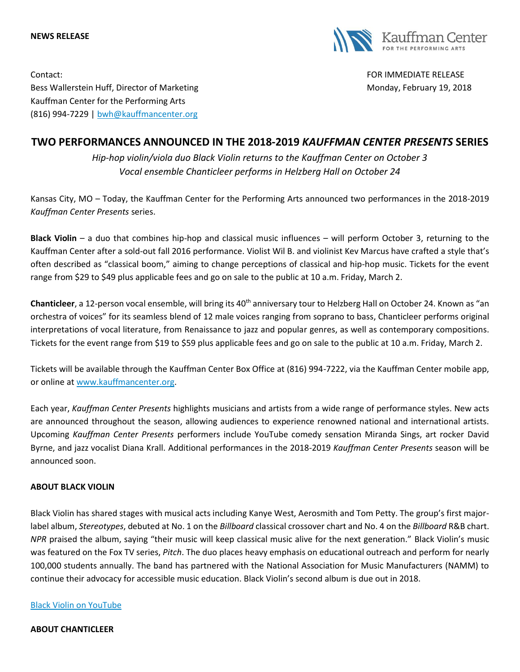**NEWS RELEASE**



Contact: FOR IMMEDIATE RELEASE Bess Wallerstein Huff, Director of Marketing Monday, February 19, 2018 Kauffman Center for the Performing Arts (816) 994-7229 | [bwh@kauffmancenter.org](mailto:bwh@kauffmancenter.org)

# **TWO PERFORMANCES ANNOUNCED IN THE 2018-2019** *KAUFFMAN CENTER PRESENTS* **SERIES**

*Hip-hop violin/viola duo Black Violin returns to the Kauffman Center on October 3 Vocal ensemble Chanticleer performs in Helzberg Hall on October 24*

Kansas City, MO – Today, the Kauffman Center for the Performing Arts announced two performances in the 2018-2019 *Kauffman Center Presents* series.

**Black Violin** – a duo that combines hip-hop and classical music influences – will perform October 3, returning to the Kauffman Center after a sold-out fall 2016 performance. Violist Wil B. and violinist Kev Marcus have crafted a style that's often described as "classical boom," aiming to change perceptions of classical and hip-hop music. Tickets for the event range from \$29 to \$49 plus applicable fees and go on sale to the public at 10 a.m. Friday, March 2.

Chanticleer, a 12-person vocal ensemble, will bring its 40<sup>th</sup> anniversary tour to Helzberg Hall on October 24. Known as "an orchestra of voices" for its seamless blend of 12 male voices ranging from soprano to bass, Chanticleer performs original interpretations of vocal literature, from Renaissance to jazz and popular genres, as well as contemporary compositions. Tickets for the event range from \$19 to \$59 plus applicable fees and go on sale to the public at 10 a.m. Friday, March 2.

Tickets will be available through the Kauffman Center Box Office at (816) 994-7222, via the Kauffman Center mobile app, or online at [www.kauffmancenter.org.](http://www.kauffmancenter.org/)

Each year, *Kauffman Center Presents* highlights musicians and artists from a wide range of performance styles. New acts are announced throughout the season, allowing audiences to experience renowned national and international artists. Upcoming *Kauffman Center Presents* performers include YouTube comedy sensation Miranda Sings, art rocker David Byrne, and jazz vocalist Diana Krall. Additional performances in the 2018-2019 *Kauffman Center Presents* season will be announced soon.

## **ABOUT BLACK VIOLIN**

Black Violin has shared stages with musical acts including Kanye West, Aerosmith and Tom Petty. The group's first majorlabel album, *Stereotypes*, debuted at No. 1 on the *Billboard* classical crossover chart and No. 4 on the *Billboard* R&B chart. *NPR* praised the album, saying "their music will keep classical music alive for the next generation." Black Violin's music was featured on the Fox TV series, *Pitch*. The duo places heavy emphasis on educational outreach and perform for nearly 100,000 students annually. The band has partnered with the National Association for Music Manufacturers (NAMM) to continue their advocacy for accessible music education. Black Violin's second album is due out in 2018.

## [Black Violin on YouTube](https://www.youtube.com/channel/UCJ6uKm4oFR1klaj6HiphcDg/videos)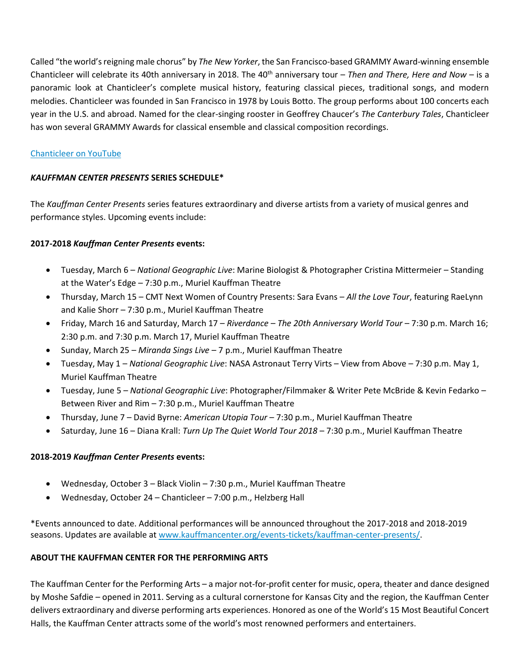Called "the world's reigning male chorus" by *The New Yorker*, the San Francisco-based GRAMMY Award-winning ensemble Chanticleer will celebrate its 40th anniversary in 2018. The 40<sup>th</sup> anniversary tour – *Then and There, Here and Now* – is a panoramic look at Chanticleer's complete musical history, featuring classical pieces, traditional songs, and modern melodies. Chanticleer was founded in San Francisco in 1978 by Louis Botto. The group performs about 100 concerts each year in the U.S. and abroad. Named for the clear-singing rooster in Geoffrey Chaucer's *The Canterbury Tales*, Chanticleer has won several GRAMMY Awards for classical ensemble and classical composition recordings.

## [Chanticleer on YouTube](https://www.youtube.com/channel/UCLa8WdKAdt49Q_mE0Tp407g)

## *KAUFFMAN CENTER PRESENTS* **SERIES SCHEDULE\***

The *Kauffman Center Presents* series features extraordinary and diverse artists from a variety of musical genres and performance styles. Upcoming events include:

## **2017-2018** *Kauffman Center Presents* **events:**

- Tuesday, March 6 *National Geographic Live*: Marine Biologist & Photographer Cristina Mittermeier Standing at the Water's Edge – 7:30 p.m., Muriel Kauffman Theatre
- Thursday, March 15 CMT Next Women of Country Presents: Sara Evans *All the Love Tour*, featuring RaeLynn and Kalie Shorr – 7:30 p.m., Muriel Kauffman Theatre
- Friday, March 16 and Saturday, March 17 *Riverdance – The 20th Anniversary World Tour* 7:30 p.m. March 16; 2:30 p.m. and 7:30 p.m. March 17, Muriel Kauffman Theatre
- Sunday, March 25 *Miranda Sings Live* 7 p.m., Muriel Kauffman Theatre
- Tuesday, May 1 *National Geographic Live*: NASA Astronaut Terry Virts View from Above 7:30 p.m. May 1, Muriel Kauffman Theatre
- Tuesday, June 5 *National Geographic Live*: Photographer/Filmmaker & Writer Pete McBride & Kevin Fedarko Between River and Rim – 7:30 p.m., Muriel Kauffman Theatre
- Thursday, June 7 David Byrne: *American Utopia Tour* 7:30 p.m., Muriel Kauffman Theatre
- Saturday, June 16 Diana Krall: *Turn Up The Quiet World Tour 2018* 7:30 p.m., Muriel Kauffman Theatre

## **2018-2019** *Kauffman Center Presents* **events:**

- Wednesday, October 3 Black Violin 7:30 p.m., Muriel Kauffman Theatre
- Wednesday, October 24 Chanticleer 7:00 p.m., Helzberg Hall

\*Events announced to date. Additional performances will be announced throughout the 2017-2018 and 2018-2019 seasons. Updates are available at [www.kauffmancenter.org/events-tickets/kauffman-center-presents/.](http://www.kauffmancenter.org/events-tickets/kauffman-center-presents/)

## **ABOUT THE KAUFFMAN CENTER FOR THE PERFORMING ARTS**

The Kauffman Center for the Performing Arts – a major not-for-profit center for music, opera, theater and dance designed by Moshe Safdie – opened in 2011. Serving as a cultural cornerstone for Kansas City and the region, the Kauffman Center delivers extraordinary and diverse performing arts experiences. Honored as one of the World's 15 Most Beautiful Concert Halls, the Kauffman Center attracts some of the world's most renowned performers and entertainers.